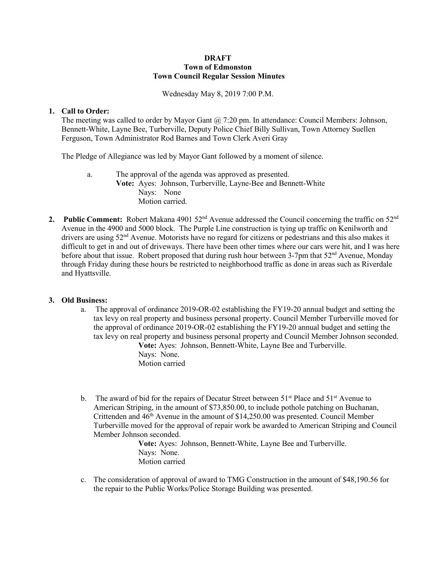# **DRAFT Town of Edmonston Town Council Regular Session Minutes**

Wednesday May 8, 2019 7:00 P.M.

# **1. Call to Order:**

The meeting was called to order by Mayor Gant  $\omega$  7:20 pm. In attendance: Council Members: Johnson, Bennett-White, Layne Bee, Turberville, Deputy Police Chief Billy Sullivan, Town Attorney Suellen Ferguson, Town Administrator Rod Barnes and Town Clerk Averi Gray

The Pledge of Allegiance was led by Mayor Gant followed by a moment of silence.

- a. The approval of the agenda was approved as presented. **Vote:** Ayes: Johnson, Turberville, Layne-Bee and Bennett-White Nays: None Motion carried.
- **2. Public Comment:** Robert Makana 4901 52<sup>nd</sup> Avenue addressed the Council concerning the traffic on 52<sup>nd</sup> Avenue in the 4900 and 5000 block. The Purple Line construction is tying up traffic on Kenilworth and drivers are using  $52<sup>nd</sup>$  Avenue. Motorists have no regard for citizens or pedestrians and this also makes it difficult to get in and out of driveways. There have been other times where our cars were hit, and I was here before about that issue. Robert proposed that during rush hour between 3-7pm that 52<sup>nd</sup> Avenue, Monday through Friday during these hours be restricted to neighborhood traffic as done in areas such as Riverdale and Hyattsville.

# **3. Old Business:**

- a. The approval of ordinance 2019-OR-02 establishing the FY19-20 annual budget and setting the tax levy on real property and business personal property. Council Member Turberville moved for the approval of ordinance 2019-OR-02 establishing the FY19-20 annual budget and setting the tax levy on real property and business personal property and Council Member Johnson seconded. **Vote:** Ayes: Johnson, Bennett-White, Layne Bee and Turberville. Nays: None.
	- Motion carried
- b. The award of bid for the repairs of Decatur Street between  $51<sup>st</sup>$  Place and  $51<sup>st</sup>$  Avenue to American Striping, in the amount of \$73,850.00, to include pothole patching on Buchanan, Crittenden and  $46<sup>th</sup>$  Avenue in the amount of \$14,250.00 was presented. Council Member Turberville moved for the approval of repair work be awarded to American Striping and Council Member Johnson seconded.

**Vote:** Ayes: Johnson, Bennett-White, Layne Bee and Turberville. Nays: None. Motion carried

c. The consideration of approval of award to TMG Construction in the amount of \$48,190.56 for the repair to the Public Works/Police Storage Building was presented.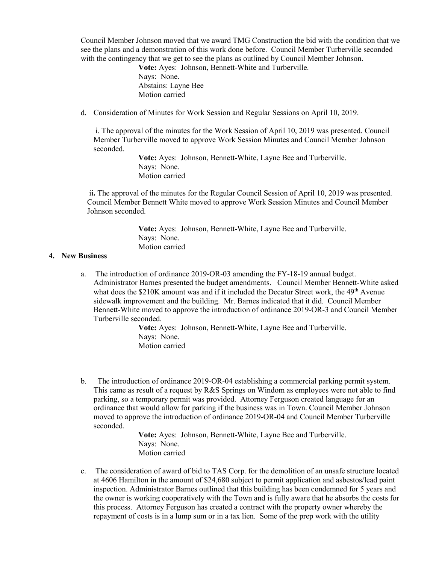Council Member Johnson moved that we award TMG Construction the bid with the condition that we see the plans and a demonstration of this work done before. Council Member Turberville seconded with the contingency that we get to see the plans as outlined by Council Member Johnson.

> **Vote:** Ayes: Johnson, Bennett-White and Turberville. Nays: None. Abstains: Layne Bee Motion carried

d. Consideration of Minutes for Work Session and Regular Sessions on April 10, 2019.

i. The approval of the minutes for the Work Session of April 10, 2019 was presented. Council Member Turberville moved to approve Work Session Minutes and Council Member Johnson seconded.

> **Vote:** Ayes: Johnson, Bennett-White, Layne Bee and Turberville. Nays: None. Motion carried

ii**.** The approval of the minutes for the Regular Council Session of April 10, 2019 was presented. Council Member Bennett White moved to approve Work Session Minutes and Council Member Johnson seconded.

> **Vote:** Ayes: Johnson, Bennett-White, Layne Bee and Turberville. Nays: None. Motion carried

### **4. New Business**

a. The introduction of ordinance 2019-OR-03 amending the FY-18-19 annual budget. Administrator Barnes presented the budget amendments. Council Member Bennett-White asked what does the  $$210K$  amount was and if it included the Decatur Street work, the  $49<sup>th</sup>$  Avenue sidewalk improvement and the building. Mr. Barnes indicated that it did. Council Member Bennett-White moved to approve the introduction of ordinance 2019-OR-3 and Council Member Turberville seconded.

> **Vote:** Ayes: Johnson, Bennett-White, Layne Bee and Turberville. Nays: None. Motion carried

b. The introduction of ordinance 2019-OR-04 establishing a commercial parking permit system. This came as result of a request by R&S Springs on Windom as employees were not able to find parking, so a temporary permit was provided. Attorney Ferguson created language for an ordinance that would allow for parking if the business was in Town. Council Member Johnson moved to approve the introduction of ordinance 2019-OR-04 and Council Member Turberville seconded.

> **Vote:** Ayes: Johnson, Bennett-White, Layne Bee and Turberville. Nays: None. Motion carried

c. The consideration of award of bid to TAS Corp. for the demolition of an unsafe structure located at 4606 Hamilton in the amount of \$24,680 subject to permit application and asbestos/lead paint inspection. Administrator Barnes outlined that this building has been condemned for 5 years and the owner is working cooperatively with the Town and is fully aware that he absorbs the costs for this process. Attorney Ferguson has created a contract with the property owner whereby the repayment of costs is in a lump sum or in a tax lien. Some of the prep work with the utility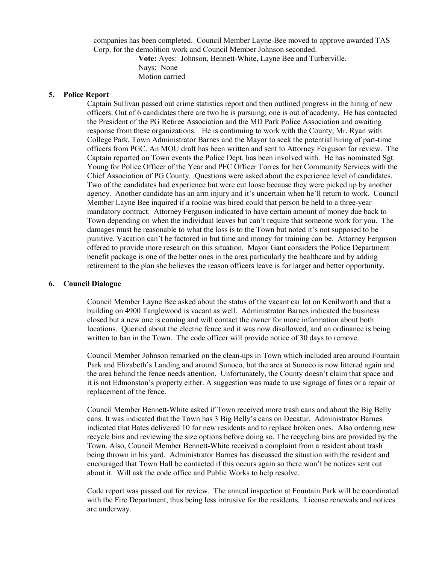companies has been completed. Council Member Layne-Bee moved to approve awarded TAS Corp. for the demolition work and Council Member Johnson seconded.

> **Vote:** Ayes: Johnson, Bennett-White, Layne Bee and Turberville. Nays: None Motion carried

#### **5. Police Report**

Captain Sullivan passed out crime statistics report and then outlined progress in the hiring of new officers. Out of 6 candidates there are two he is pursuing; one is out of academy. He has contacted the President of the PG Retiree Association and the MD Park Police Association and awaiting response from these organizations. He is continuing to work with the County, Mr. Ryan with College Park, Town Administrator Barnes and the Mayor to seek the potential hiring of part-time officers from PGC. An MOU draft has been written and sent to Attorney Ferguson for review. The Captain reported on Town events the Police Dept. has been involved with. He has nominated Sgt. Young for Police Officer of the Year and PFC Officer Torres for her Community Services with the Chief Association of PG County. Questions were asked about the experience level of candidates. Two of the candidates had experience but were cut loose because they were picked up by another agency. Another candidate has an arm injury and it's uncertain when he'll return to work. Council Member Layne Bee inquired if a rookie was hired could that person be held to a three-year mandatory contract. Attorney Ferguson indicated to have certain amount of money due back to Town depending on when the individual leaves but can't require that someone work for you. The damages must be reasonable to what the loss is to the Town but noted it's not supposed to be punitive. Vacation can't be factored in but time and money for training can be. Attorney Ferguson offered to provide more research on this situation. Mayor Gant considers the Police Department benefit package is one of the better ones in the area particularly the healthcare and by adding retirement to the plan she believes the reason officers leave is for larger and better opportunity.

#### **6. Council Dialogue**

Council Member Layne Bee asked about the status of the vacant car lot on Kenilworth and that a building on 4900 Tanglewood is vacant as well. Administrator Barnes indicated the business closed but a new one is coming and will contact the owner for more information about both locations. Queried about the electric fence and it was now disallowed, and an ordinance is being written to ban in the Town. The code officer will provide notice of 30 days to remove.

Council Member Johnson remarked on the clean-ups in Town which included area around Fountain Park and Elizabeth's Landing and around Sunoco, but the area at Sunoco is now littered again and the area behind the fence needs attention. Unfortunately, the County doesn't claim that space and it is not Edmonston's property either. A suggestion was made to use signage of fines or a repair or replacement of the fence.

Council Member Bennett-White asked if Town received more trash cans and about the Big Belly cans. It was indicated that the Town has 3 Big Belly's cans on Decatur. Administrator Barnes indicated that Bates delivered 10 for new residents and to replace broken ones. Also ordering new recycle bins and reviewing the size options before doing so. The recycling bins are provided by the Town. Also, Council Member Bennett-White received a complaint from a resident about trash being thrown in his yard. Administrator Barnes has discussed the situation with the resident and encouraged that Town Hall be contacted if this occurs again so there won't be notices sent out about it. Will ask the code office and Public Works to help resolve.

Code report was passed out for review. The annual inspection at Fountain Park will be coordinated with the Fire Department, thus being less intrusive for the residents. License renewals and notices are underway.